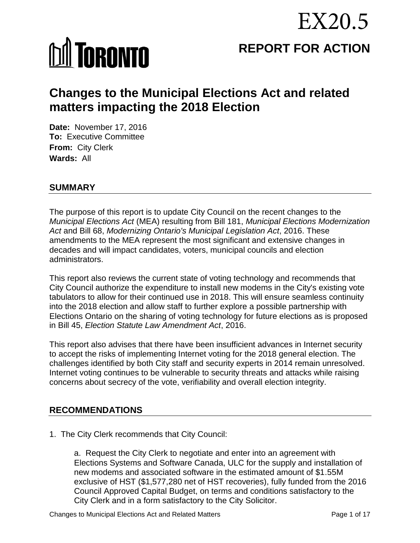# **MI TORONTO**

# **REPORT FOR ACTION**

EX20.5

# **Changes to the Municipal Elections Act and related matters impacting the 2018 Election**

**Date:** November 17, 2016 **To:** Executive Committee **From:** City Clerk **Wards:** All

# **SUMMARY**

The purpose of this report is to update City Council on the recent changes to the *Municipal Elections Act* (MEA) resulting from Bill 181, *Municipal Elections Modernization Act* and Bill 68, *Modernizing Ontario's Municipal Legislation Act*, 2016. These amendments to the MEA represent the most significant and extensive changes in decades and will impact candidates, voters, municipal councils and election administrators.

This report also reviews the current state of voting technology and recommends that City Council authorize the expenditure to install new modems in the City's existing vote tabulators to allow for their continued use in 2018. This will ensure seamless continuity into the 2018 election and allow staff to further explore a possible partnership with Elections Ontario on the sharing of voting technology for future elections as is proposed in Bill 45, *Election Statute Law Amendment Act*, 2016.

This report also advises that there have been insufficient advances in Internet security to accept the risks of implementing Internet voting for the 2018 general election. The challenges identified by both City staff and security experts in 2014 remain unresolved. Internet voting continues to be vulnerable to security threats and attacks while raising concerns about secrecy of the vote, verifiability and overall election integrity.

# **RECOMMENDATIONS**

1. The City Clerk recommends that City Council:

a. Request the City Clerk to negotiate and enter into an agreement with Elections Systems and Software Canada, ULC for the supply and installation of new modems and associated software in the estimated amount of \$1.55M exclusive of HST (\$1,577,280 net of HST recoveries), fully funded from the 2016 Council Approved Capital Budget, on terms and conditions satisfactory to the City Clerk and in a form satisfactory to the City Solicitor.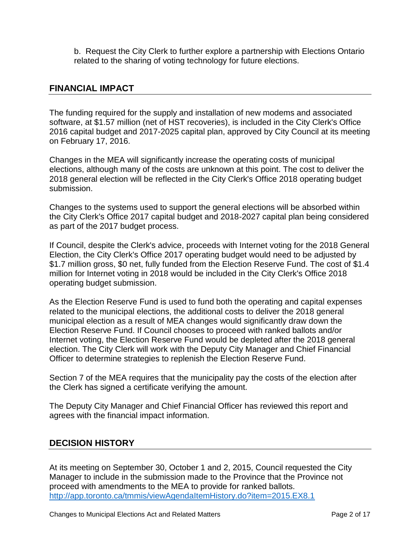b. Request the City Clerk to further explore a partnership with Elections Ontario related to the sharing of voting technology for future elections.

## **FINANCIAL IMPACT**

The funding required for the supply and installation of new modems and associated software, at \$1.57 million (net of HST recoveries), is included in the City Clerk's Office 2016 capital budget and 2017-2025 capital plan, approved by City Council at its meeting on February 17, 2016.

Changes in the MEA will significantly increase the operating costs of municipal elections, although many of the costs are unknown at this point. The cost to deliver the 2018 general election will be reflected in the City Clerk's Office 2018 operating budget submission.

Changes to the systems used to support the general elections will be absorbed within the City Clerk's Office 2017 capital budget and 2018-2027 capital plan being considered as part of the 2017 budget process.

If Council, despite the Clerk's advice, proceeds with Internet voting for the 2018 General Election, the City Clerk's Office 2017 operating budget would need to be adjusted by \$1.7 million gross, \$0 net, fully funded from the Election Reserve Fund. The cost of \$1.4 million for Internet voting in 2018 would be included in the City Clerk's Office 2018 operating budget submission.

As the Election Reserve Fund is used to fund both the operating and capital expenses related to the municipal elections, the additional costs to deliver the 2018 general municipal election as a result of MEA changes would significantly draw down the Election Reserve Fund. If Council chooses to proceed with ranked ballots and/or Internet voting, the Election Reserve Fund would be depleted after the 2018 general election. The City Clerk will work with the Deputy City Manager and Chief Financial Officer to determine strategies to replenish the Election Reserve Fund.

Section 7 of the MEA requires that the municipality pay the costs of the election after the Clerk has signed a certificate verifying the amount.

The Deputy City Manager and Chief Financial Officer has reviewed this report and agrees with the financial impact information.

# **DECISION HISTORY**

At its meeting on September 30, October 1 and 2, 2015, Council requested the City Manager to include in the submission made to the Province that the Province not proceed with amendments to the MEA to provide for ranked ballots. <http://app.toronto.ca/tmmis/viewAgendaItemHistory.do?item=2015.EX8.1>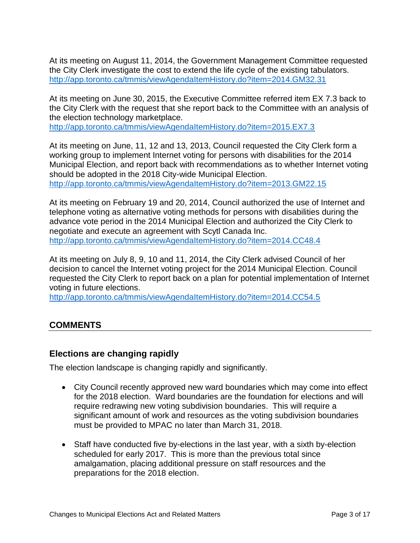At its meeting on August 11, 2014, the Government Management Committee requested the City Clerk investigate the cost to extend the life cycle of the existing tabulators. <http://app.toronto.ca/tmmis/viewAgendaItemHistory.do?item=2014.GM32.31>

At its meeting on June 30, 2015, the Executive Committee referred item EX 7.3 back to the City Clerk with the request that she report back to the Committee with an analysis of the election technology marketplace.

<http://app.toronto.ca/tmmis/viewAgendaItemHistory.do?item=2015.EX7.3>

At its meeting on June, 11, 12 and 13, 2013, Council requested the City Clerk form a working group to implement Internet voting for persons with disabilities for the 2014 Municipal Election, and report back with recommendations as to whether Internet voting should be adopted in the 2018 City-wide Municipal Election. <http://app.toronto.ca/tmmis/viewAgendaItemHistory.do?item=2013.GM22.15>

At its meeting on February 19 and 20, 2014, Council authorized the use of Internet and telephone voting as alternative voting methods for persons with disabilities during the advance vote period in the 2014 Municipal Election and authorized the City Clerk to negotiate and execute an agreement with Scytl Canada Inc. <http://app.toronto.ca/tmmis/viewAgendaItemHistory.do?item=2014.CC48.4>

At its meeting on July 8, 9, 10 and 11, 2014, the City Clerk advised Council of her decision to cancel the Internet voting project for the 2014 Municipal Election. Council requested the City Clerk to report back on a plan for potential implementation of Internet voting in future elections.

<http://app.toronto.ca/tmmis/viewAgendaItemHistory.do?item=2014.CC54.5>

# **COMMENTS**

# **Elections are changing rapidly**

The election landscape is changing rapidly and significantly.

- City Council recently approved new ward boundaries which may come into effect for the 2018 election. Ward boundaries are the foundation for elections and will require redrawing new voting subdivision boundaries. This will require a significant amount of work and resources as the voting subdivision boundaries must be provided to MPAC no later than March 31, 2018.
- Staff have conducted five by-elections in the last year, with a sixth by-election scheduled for early 2017. This is more than the previous total since amalgamation, placing additional pressure on staff resources and the preparations for the 2018 election.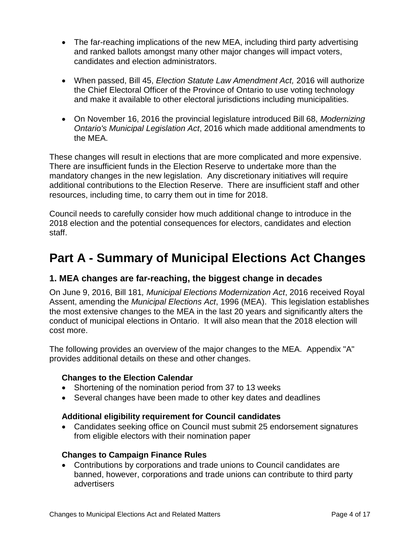- The far-reaching implications of the new MEA, including third party advertising and ranked ballots amongst many other major changes will impact voters, candidates and election administrators.
- When passed, Bill 45, *Election Statute Law Amendment Act,* 2016 will authorize the Chief Electoral Officer of the Province of Ontario to use voting technology and make it available to other electoral jurisdictions including municipalities.
- On November 16, 2016 the provincial legislature introduced Bill 68, *Modernizing Ontario's Municipal Legislation Act*, 2016 which made additional amendments to the MEA.

These changes will result in elections that are more complicated and more expensive. There are insufficient funds in the Election Reserve to undertake more than the mandatory changes in the new legislation. Any discretionary initiatives will require additional contributions to the Election Reserve. There are insufficient staff and other resources, including time, to carry them out in time for 2018.

Council needs to carefully consider how much additional change to introduce in the 2018 election and the potential consequences for electors, candidates and election staff.

# **Part A - Summary of Municipal Elections Act Changes**

# **1. MEA changes are far-reaching, the biggest change in decades**

On June 9, 2016, Bill 181*, Municipal Elections Modernization Act*, 2016 received Royal Assent, amending the *Municipal Elections Act*, 1996 (MEA). This legislation establishes the most extensive changes to the MEA in the last 20 years and significantly alters the conduct of municipal elections in Ontario. It will also mean that the 2018 election will cost more.

The following provides an overview of the major changes to the MEA. Appendix "A" provides additional details on these and other changes.

#### **Changes to the Election Calendar**

- Shortening of the nomination period from 37 to 13 weeks
- Several changes have been made to other key dates and deadlines

#### **Additional eligibility requirement for Council candidates**

 Candidates seeking office on Council must submit 25 endorsement signatures from eligible electors with their nomination paper

#### **Changes to Campaign Finance Rules**

 Contributions by corporations and trade unions to Council candidates are banned, however, corporations and trade unions can contribute to third party advertisers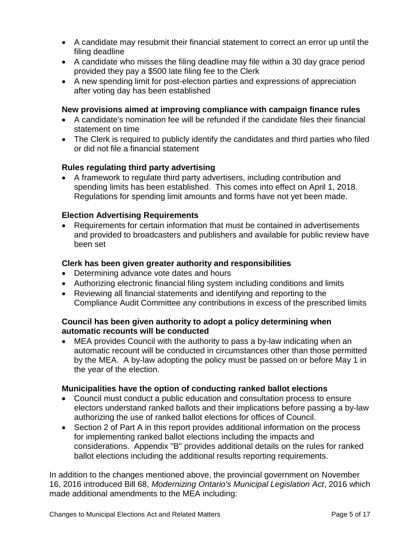- A candidate may resubmit their financial statement to correct an error up until the filing deadline
- A candidate who misses the filing deadline may file within a 30 day grace period provided they pay a \$500 late filing fee to the Clerk
- A new spending limit for post-election parties and expressions of appreciation after voting day has been established

#### **New provisions aimed at improving compliance with campaign finance rules**

- A candidate's nomination fee will be refunded if the candidate files their financial statement on time
- The Clerk is required to publicly identify the candidates and third parties who filed or did not file a financial statement

## **Rules regulating third party advertising**

 A framework to regulate third party advertisers, including contribution and spending limits has been established. This comes into effect on April 1, 2018. Regulations for spending limit amounts and forms have not yet been made.

#### **Election Advertising Requirements**

 Requirements for certain information that must be contained in advertisements and provided to broadcasters and publishers and available for public review have been set

#### **Clerk has been given greater authority and responsibilities**

- Determining advance vote dates and hours
- Authorizing electronic financial filing system including conditions and limits
- Reviewing all financial statements and identifying and reporting to the Compliance Audit Committee any contributions in excess of the prescribed limits

## **Council has been given authority to adopt a policy determining when automatic recounts will be conducted**

 MEA provides Council with the authority to pass a by-law indicating when an automatic recount will be conducted in circumstances other than those permitted by the MEA. A by-law adopting the policy must be passed on or before May 1 in the year of the election.

#### **Municipalities have the option of conducting ranked ballot elections**

- Council must conduct a public education and consultation process to ensure electors understand ranked ballots and their implications before passing a by-law authorizing the use of ranked ballot elections for offices of Council.
- Section 2 of Part A in this report provides additional information on the process for implementing ranked ballot elections including the impacts and considerations. Appendix "B" provides additional details on the rules for ranked ballot elections including the additional results reporting requirements.

In addition to the changes mentioned above, the provincial government on November 16, 2016 introduced Bill 68, *Modernizing Ontario's Municipal Legislation Act*, 2016 which made additional amendments to the MEA including: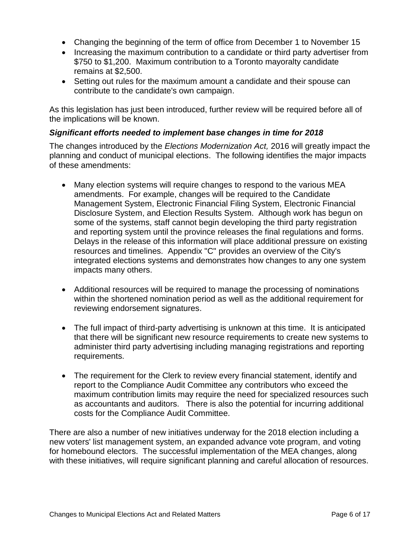- Changing the beginning of the term of office from December 1 to November 15
- Increasing the maximum contribution to a candidate or third party advertiser from \$750 to \$1,200. Maximum contribution to a Toronto mayoralty candidate remains at \$2,500.
- Setting out rules for the maximum amount a candidate and their spouse can contribute to the candidate's own campaign.

As this legislation has just been introduced, further review will be required before all of the implications will be known.

#### *Significant efforts needed to implement base changes in time for 2018*

The changes introduced by the *Elections Modernization Act,* 2016 will greatly impact the planning and conduct of municipal elections. The following identifies the major impacts of these amendments:

- Many election systems will require changes to respond to the various MEA amendments. For example, changes will be required to the Candidate Management System, Electronic Financial Filing System, Electronic Financial Disclosure System, and Election Results System. Although work has begun on some of the systems, staff cannot begin developing the third party registration and reporting system until the province releases the final regulations and forms. Delays in the release of this information will place additional pressure on existing resources and timelines. Appendix "C" provides an overview of the City's integrated elections systems and demonstrates how changes to any one system impacts many others.
- Additional resources will be required to manage the processing of nominations within the shortened nomination period as well as the additional requirement for reviewing endorsement signatures.
- The full impact of third-party advertising is unknown at this time. It is anticipated that there will be significant new resource requirements to create new systems to administer third party advertising including managing registrations and reporting requirements.
- The requirement for the Clerk to review every financial statement, identify and report to the Compliance Audit Committee any contributors who exceed the maximum contribution limits may require the need for specialized resources such as accountants and auditors. There is also the potential for incurring additional costs for the Compliance Audit Committee.

There are also a number of new initiatives underway for the 2018 election including a new voters' list management system, an expanded advance vote program, and voting for homebound electors. The successful implementation of the MEA changes, along with these initiatives, will require significant planning and careful allocation of resources.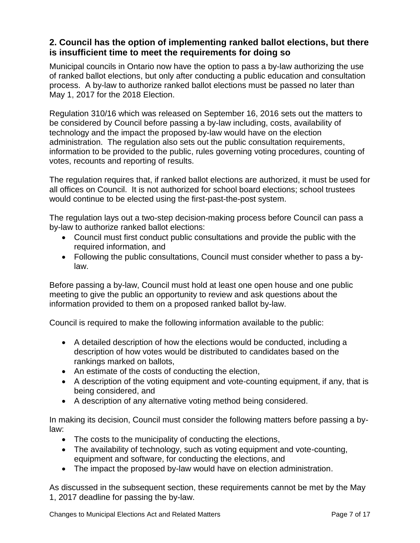# **2. Council has the option of implementing ranked ballot elections, but there is insufficient time to meet the requirements for doing so**

Municipal councils in Ontario now have the option to pass a by-law authorizing the use of ranked ballot elections, but only after conducting a public education and consultation process. A by-law to authorize ranked ballot elections must be passed no later than May 1, 2017 for the 2018 Election.

Regulation 310/16 which was released on September 16, 2016 sets out the matters to be considered by Council before passing a by-law including, costs, availability of technology and the impact the proposed by-law would have on the election administration. The regulation also sets out the public consultation requirements, information to be provided to the public, rules governing voting procedures, counting of votes, recounts and reporting of results.

The regulation requires that, if ranked ballot elections are authorized, it must be used for all offices on Council. It is not authorized for school board elections; school trustees would continue to be elected using the first-past-the-post system.

The regulation lays out a two-step decision-making process before Council can pass a by-law to authorize ranked ballot elections:

- Council must first conduct public consultations and provide the public with the required information, and
- Following the public consultations, Council must consider whether to pass a bylaw.

Before passing a by-law, Council must hold at least one open house and one public meeting to give the public an opportunity to review and ask questions about the information provided to them on a proposed ranked ballot by-law.

Council is required to make the following information available to the public:

- A detailed description of how the elections would be conducted, including a description of how votes would be distributed to candidates based on the rankings marked on ballots,
- An estimate of the costs of conducting the election,
- A description of the voting equipment and vote-counting equipment, if any, that is being considered, and
- A description of any alternative voting method being considered.

In making its decision, Council must consider the following matters before passing a bylaw:

- The costs to the municipality of conducting the elections,
- The availability of technology, such as voting equipment and vote-counting, equipment and software, for conducting the elections, and
- The impact the proposed by-law would have on election administration.

As discussed in the subsequent section, these requirements cannot be met by the May 1, 2017 deadline for passing the by-law.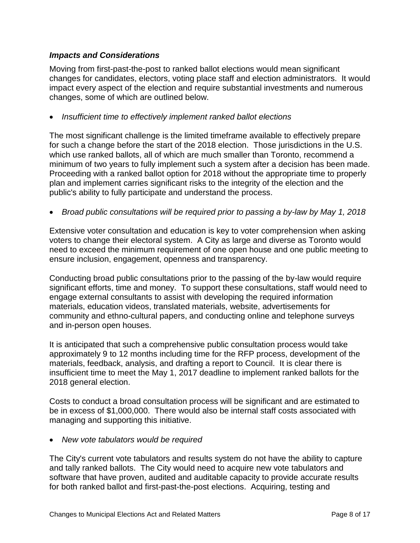## *Impacts and Considerations*

Moving from first-past-the-post to ranked ballot elections would mean significant changes for candidates, electors, voting place staff and election administrators. It would impact every aspect of the election and require substantial investments and numerous changes, some of which are outlined below.

*Insufficient time to effectively implement ranked ballot elections*

The most significant challenge is the limited timeframe available to effectively prepare for such a change before the start of the 2018 election. Those jurisdictions in the U.S. which use ranked ballots, all of which are much smaller than Toronto, recommend a minimum of two years to fully implement such a system after a decision has been made. Proceeding with a ranked ballot option for 2018 without the appropriate time to properly plan and implement carries significant risks to the integrity of the election and the public's ability to fully participate and understand the process.

*Broad public consultations will be required prior to passing a by-law by May 1, 2018*

Extensive voter consultation and education is key to voter comprehension when asking voters to change their electoral system. A City as large and diverse as Toronto would need to exceed the minimum requirement of one open house and one public meeting to ensure inclusion, engagement, openness and transparency.

Conducting broad public consultations prior to the passing of the by-law would require significant efforts, time and money. To support these consultations, staff would need to engage external consultants to assist with developing the required information materials, education videos, translated materials, website, advertisements for community and ethno-cultural papers, and conducting online and telephone surveys and in-person open houses.

It is anticipated that such a comprehensive public consultation process would take approximately 9 to 12 months including time for the RFP process, development of the materials, feedback, analysis, and drafting a report to Council. It is clear there is insufficient time to meet the May 1, 2017 deadline to implement ranked ballots for the 2018 general election.

Costs to conduct a broad consultation process will be significant and are estimated to be in excess of \$1,000,000. There would also be internal staff costs associated with managing and supporting this initiative.

*New vote tabulators would be required*

The City's current vote tabulators and results system do not have the ability to capture and tally ranked ballots. The City would need to acquire new vote tabulators and software that have proven, audited and auditable capacity to provide accurate results for both ranked ballot and first-past-the-post elections. Acquiring, testing and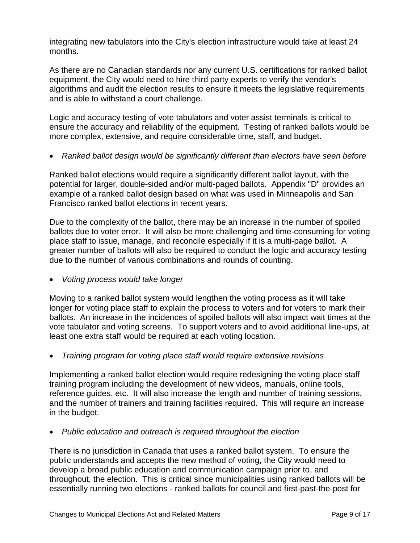integrating new tabulators into the City's election infrastructure would take at least 24 months.

As there are no Canadian standards nor any current U.S. certifications for ranked ballot equipment, the City would need to hire third party experts to verify the vendor's algorithms and audit the election results to ensure it meets the legislative requirements and is able to withstand a court challenge.

Logic and accuracy testing of vote tabulators and voter assist terminals is critical to ensure the accuracy and reliability of the equipment. Testing of ranked ballots would be more complex, extensive, and require considerable time, staff, and budget.

*Ranked ballot design would be significantly different than electors have seen before*

Ranked ballot elections would require a significantly different ballot layout, with the potential for larger, double-sided and/or multi-paged ballots. Appendix "D" provides an example of a ranked ballot design based on what was used in Minneapolis and San Francisco ranked ballot elections in recent years.

Due to the complexity of the ballot, there may be an increase in the number of spoiled ballots due to voter error. It will also be more challenging and time-consuming for voting place staff to issue, manage, and reconcile especially if it is a multi-page ballot. A greater number of ballots will also be required to conduct the logic and accuracy testing due to the number of various combinations and rounds of counting.

*Voting process would take longer*

Moving to a ranked ballot system would lengthen the voting process as it will take longer for voting place staff to explain the process to voters and for voters to mark their ballots. An increase in the incidences of spoiled ballots will also impact wait times at the vote tabulator and voting screens. To support voters and to avoid additional line-ups, at least one extra staff would be required at each voting location.

*Training program for voting place staff would require extensive revisions*

Implementing a ranked ballot election would require redesigning the voting place staff training program including the development of new videos, manuals, online tools, reference guides, etc. It will also increase the length and number of training sessions, and the number of trainers and training facilities required. This will require an increase in the budget.

*Public education and outreach is required throughout the election*

There is no jurisdiction in Canada that uses a ranked ballot system. To ensure the public understands and accepts the new method of voting, the City would need to develop a broad public education and communication campaign prior to, and throughout, the election. This is critical since municipalities using ranked ballots will be essentially running two elections - ranked ballots for council and first-past-the-post for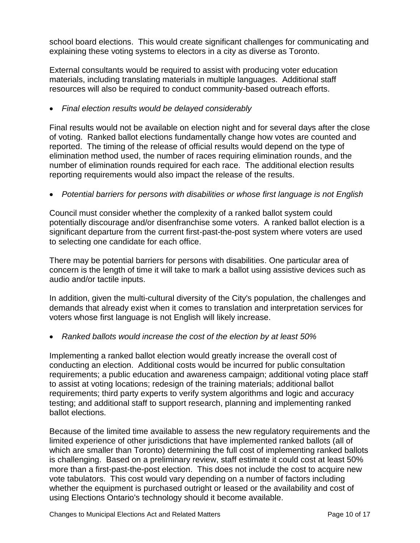school board elections. This would create significant challenges for communicating and explaining these voting systems to electors in a city as diverse as Toronto.

External consultants would be required to assist with producing voter education materials, including translating materials in multiple languages. Additional staff resources will also be required to conduct community-based outreach efforts.

## *Final election results would be delayed considerably*

Final results would not be available on election night and for several days after the close of voting. Ranked ballot elections fundamentally change how votes are counted and reported. The timing of the release of official results would depend on the type of elimination method used, the number of races requiring elimination rounds, and the number of elimination rounds required for each race. The additional election results reporting requirements would also impact the release of the results.

## *Potential barriers for persons with disabilities or whose first language is not English*

Council must consider whether the complexity of a ranked ballot system could potentially discourage and/or disenfranchise some voters. A ranked ballot election is a significant departure from the current first-past-the-post system where voters are used to selecting one candidate for each office.

There may be potential barriers for persons with disabilities. One particular area of concern is the length of time it will take to mark a ballot using assistive devices such as audio and/or tactile inputs.

In addition, given the multi-cultural diversity of the City's population, the challenges and demands that already exist when it comes to translation and interpretation services for voters whose first language is not English will likely increase.

*Ranked ballots would increase the cost of the election by at least 50%*

Implementing a ranked ballot election would greatly increase the overall cost of conducting an election. Additional costs would be incurred for public consultation requirements; a public education and awareness campaign; additional voting place staff to assist at voting locations; redesign of the training materials; additional ballot requirements; third party experts to verify system algorithms and logic and accuracy testing; and additional staff to support research, planning and implementing ranked ballot elections.

Because of the limited time available to assess the new regulatory requirements and the limited experience of other jurisdictions that have implemented ranked ballots (all of which are smaller than Toronto) determining the full cost of implementing ranked ballots is challenging. Based on a preliminary review, staff estimate it could cost at least 50% more than a first-past-the-post election. This does not include the cost to acquire new vote tabulators. This cost would vary depending on a number of factors including whether the equipment is purchased outright or leased or the availability and cost of using Elections Ontario's technology should it become available.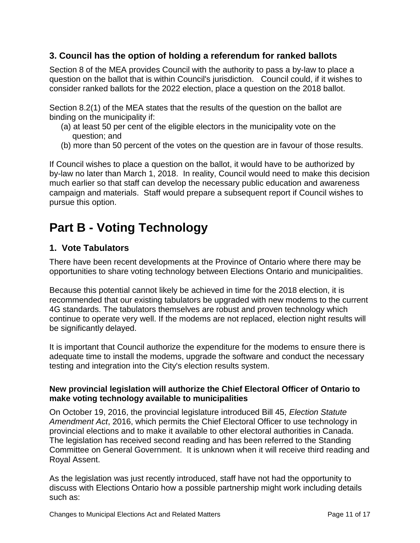# **3. Council has the option of holding a referendum for ranked ballots**

Section 8 of the MEA provides Council with the authority to pass a by-law to place a question on the ballot that is within Council's jurisdiction. Council could, if it wishes to consider ranked ballots for the 2022 election, place a question on the 2018 ballot.

Section 8.2(1) of the MEA states that the results of the question on the ballot are binding on the municipality if:

- (a) at least 50 per cent of the eligible electors in the municipality vote on the question; and
- (b) more than 50 percent of the votes on the question are in favour of those results.

If Council wishes to place a question on the ballot, it would have to be authorized by by-law no later than March 1, 2018. In reality, Council would need to make this decision much earlier so that staff can develop the necessary public education and awareness campaign and materials. Staff would prepare a subsequent report if Council wishes to pursue this option.

# **Part B - Voting Technology**

# **1. Vote Tabulators**

There have been recent developments at the Province of Ontario where there may be opportunities to share voting technology between Elections Ontario and municipalities.

Because this potential cannot likely be achieved in time for the 2018 election, it is recommended that our existing tabulators be upgraded with new modems to the current 4G standards. The tabulators themselves are robust and proven technology which continue to operate very well. If the modems are not replaced, election night results will be significantly delayed.

It is important that Council authorize the expenditure for the modems to ensure there is adequate time to install the modems, upgrade the software and conduct the necessary testing and integration into the City's election results system.

#### **New provincial legislation will authorize the Chief Electoral Officer of Ontario to make voting technology available to municipalities**

On October 19, 2016, the provincial legislature introduced Bill 45, *Election Statute Amendment Act*, 2016, which permits the Chief Electoral Officer to use technology in provincial elections and to make it available to other electoral authorities in Canada. The legislation has received second reading and has been referred to the Standing Committee on General Government. It is unknown when it will receive third reading and Royal Assent.

As the legislation was just recently introduced, staff have not had the opportunity to discuss with Elections Ontario how a possible partnership might work including details such as: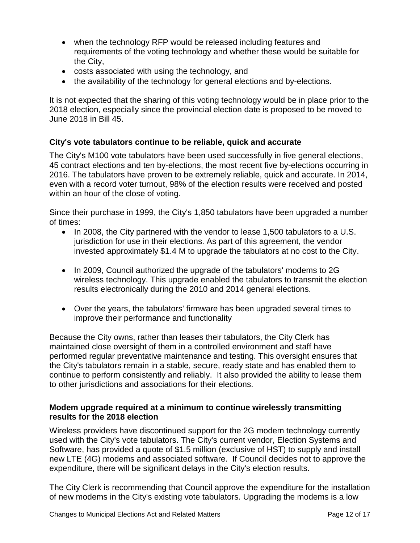- when the technology RFP would be released including features and requirements of the voting technology and whether these would be suitable for the City,
- costs associated with using the technology, and
- the availability of the technology for general elections and by-elections.

It is not expected that the sharing of this voting technology would be in place prior to the 2018 election, especially since the provincial election date is proposed to be moved to June 2018 in Bill 45.

# **City's vote tabulators continue to be reliable, quick and accurate**

The City's M100 vote tabulators have been used successfully in five general elections, 45 contract elections and ten by-elections, the most recent five by-elections occurring in 2016. The tabulators have proven to be extremely reliable, quick and accurate. In 2014, even with a record voter turnout, 98% of the election results were received and posted within an hour of the close of voting.

Since their purchase in 1999, the City's 1,850 tabulators have been upgraded a number of times:

- $\bullet$  In 2008, the City partnered with the vendor to lease 1,500 tabulators to a U.S. jurisdiction for use in their elections. As part of this agreement, the vendor invested approximately \$1.4 M to upgrade the tabulators at no cost to the City.
- In 2009, Council authorized the upgrade of the tabulators' modems to 2G wireless technology. This upgrade enabled the tabulators to transmit the election results electronically during the 2010 and 2014 general elections.
- Over the years, the tabulators' firmware has been upgraded several times to improve their performance and functionality

Because the City owns, rather than leases their tabulators, the City Clerk has maintained close oversight of them in a controlled environment and staff have performed regular preventative maintenance and testing. This oversight ensures that the City's tabulators remain in a stable, secure, ready state and has enabled them to continue to perform consistently and reliably. It also provided the ability to lease them to other jurisdictions and associations for their elections.

#### **Modem upgrade required at a minimum to continue wirelessly transmitting results for the 2018 election**

Wireless providers have discontinued support for the 2G modem technology currently used with the City's vote tabulators. The City's current vendor, Election Systems and Software, has provided a quote of \$1.5 million (exclusive of HST) to supply and install new LTE (4G) modems and associated software. If Council decides not to approve the expenditure, there will be significant delays in the City's election results.

The City Clerk is recommending that Council approve the expenditure for the installation of new modems in the City's existing vote tabulators. Upgrading the modems is a low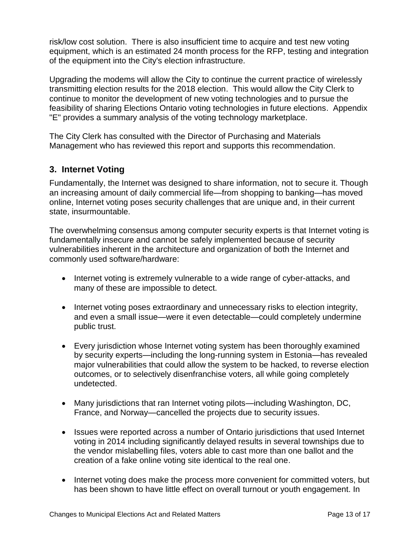risk/low cost solution. There is also insufficient time to acquire and test new voting equipment, which is an estimated 24 month process for the RFP, testing and integration of the equipment into the City's election infrastructure.

Upgrading the modems will allow the City to continue the current practice of wirelessly transmitting election results for the 2018 election. This would allow the City Clerk to continue to monitor the development of new voting technologies and to pursue the feasibility of sharing Elections Ontario voting technologies in future elections. Appendix "E" provides a summary analysis of the voting technology marketplace.

The City Clerk has consulted with the Director of Purchasing and Materials Management who has reviewed this report and supports this recommendation.

# **3. Internet Voting**

Fundamentally, the Internet was designed to share information, not to secure it. Though an increasing amount of daily commercial life—from shopping to banking—has moved online, Internet voting poses security challenges that are unique and, in their current state, insurmountable.

The overwhelming consensus among computer security experts is that Internet voting is fundamentally insecure and cannot be safely implemented because of security vulnerabilities inherent in the architecture and organization of both the Internet and commonly used software/hardware:

- Internet voting is extremely vulnerable to a wide range of cyber-attacks, and many of these are impossible to detect.
- Internet voting poses extraordinary and unnecessary risks to election integrity, and even a small issue—were it even detectable—could completely undermine public trust.
- Every jurisdiction whose Internet voting system has been thoroughly examined by security experts—including the long-running system in Estonia—has revealed major vulnerabilities that could allow the system to be hacked, to reverse election outcomes, or to selectively disenfranchise voters, all while going completely undetected.
- Many jurisdictions that ran Internet voting pilots—including Washington, DC, France, and Norway—cancelled the projects due to security issues.
- Issues were reported across a number of Ontario jurisdictions that used Internet voting in 2014 including significantly delayed results in several townships due to the vendor mislabelling files, voters able to cast more than one ballot and the creation of a fake online voting site identical to the real one.
- Internet voting does make the process more convenient for committed voters, but has been shown to have little effect on overall turnout or youth engagement. In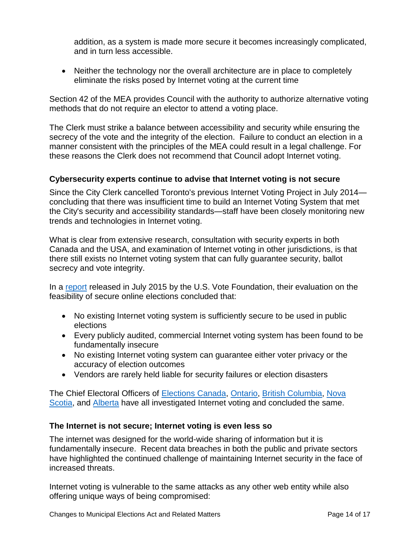addition, as a system is made more secure it becomes increasingly complicated, and in turn less accessible.

• Neither the technology nor the overall architecture are in place to completely eliminate the risks posed by Internet voting at the current time

Section 42 of the MEA provides Council with the authority to authorize alternative voting methods that do not require an elector to attend a voting place.

The Clerk must strike a balance between accessibility and security while ensuring the secrecy of the vote and the integrity of the election. Failure to conduct an election in a manner consistent with the principles of the MEA could result in a legal challenge. For these reasons the Clerk does not recommend that Council adopt Internet voting.

#### **Cybersecurity experts continue to advise that Internet voting is not secure**

Since the City Clerk cancelled Toronto's previous Internet Voting Project in July 2014 concluding that there was insufficient time to build an Internet Voting System that met the City's security and accessibility standards—staff have been closely monitoring new trends and technologies in Internet voting.

What is clear from extensive research, consultation with security experts in both Canada and the USA, and examination of Internet voting in other jurisdictions, is that there still exists no Internet voting system that can fully guarantee security, ballot secrecy and vote integrity.

In a [report](https://www.usvotefoundation.org/E2E-VIV) released in July 2015 by the U.S. Vote Foundation, their evaluation on the feasibility of secure online elections concluded that:

- No existing Internet voting system is sufficiently secure to be used in public elections
- Every publicly audited, commercial Internet voting system has been found to be fundamentally insecure
- No existing Internet voting system can guarantee either voter privacy or the accuracy of election outcomes
- Vendors are rarely held liable for security failures or election disasters

The Chief Electoral Officers of [Elections Canada,](http://www.elections.ca/content.aspx?section=res&dir=rec/tech/ivote/comp&document=index&lang=e) [Ontario,](http://www.elections.on.ca/content/dam/NGW/sitecontent/2014/reports/Alternative%20Voting%20Technologies%20Report%20%282012%29.pdf) [British Columbia,](http://www.internetvotingpanel.ca/docs/recommendations-report.pdf) [Nova](https://electionsnovascotia.ca/sites/default/files/ENS%20AR%20Web%202012_13.pdf)  [Scotia,](https://electionsnovascotia.ca/sites/default/files/ENS%20AR%20Web%202012_13.pdf) and [Alberta](http://www.strathcona.ca/files/files/at-lls-arm-2013_04_09_report_94.pdf) have all investigated Internet voting and concluded the same.

#### **The Internet is not secure; Internet voting is even less so**

The internet was designed for the world-wide sharing of information but it is fundamentally insecure. Recent data breaches in both the public and private sectors have highlighted the continued challenge of maintaining Internet security in the face of increased threats.

Internet voting is vulnerable to the same attacks as any other web entity while also offering unique ways of being compromised: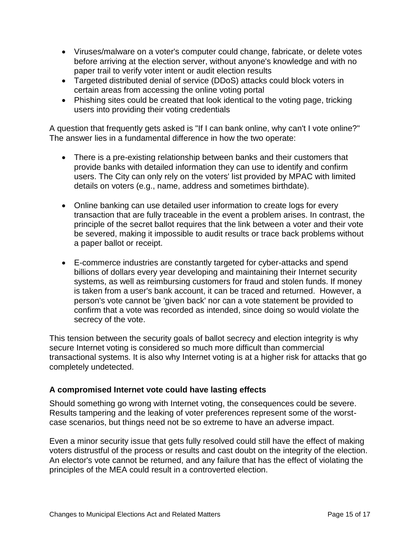- Viruses/malware on a voter's computer could change, fabricate, or delete votes before arriving at the election server, without anyone's knowledge and with no paper trail to verify voter intent or audit election results
- Targeted distributed denial of service (DDoS) attacks could block voters in certain areas from accessing the online voting portal
- Phishing sites could be created that look identical to the voting page, tricking users into providing their voting credentials

A question that frequently gets asked is "If I can bank online, why can't I vote online?" The answer lies in a fundamental difference in how the two operate:

- There is a pre-existing relationship between banks and their customers that provide banks with detailed information they can use to identify and confirm users. The City can only rely on the voters' list provided by MPAC with limited details on voters (e.g., name, address and sometimes birthdate).
- Online banking can use detailed user information to create logs for every transaction that are fully traceable in the event a problem arises. In contrast, the principle of the secret ballot requires that the link between a voter and their vote be severed, making it impossible to audit results or trace back problems without a paper ballot or receipt.
- E-commerce industries are constantly targeted for cyber-attacks and spend billions of dollars every year developing and maintaining their Internet security systems, as well as reimbursing customers for fraud and stolen funds. If money is taken from a user's bank account, it can be traced and returned. However, a person's vote cannot be 'given back' nor can a vote statement be provided to confirm that a vote was recorded as intended, since doing so would violate the secrecy of the vote.

This tension between the security goals of ballot secrecy and election integrity is why secure Internet voting is considered so much more difficult than commercial transactional systems. It is also why Internet voting is at a higher risk for attacks that go completely undetected.

# **A compromised Internet vote could have lasting effects**

Should something go wrong with Internet voting, the consequences could be severe. Results tampering and the leaking of voter preferences represent some of the worstcase scenarios, but things need not be so extreme to have an adverse impact.

Even a minor security issue that gets fully resolved could still have the effect of making voters distrustful of the process or results and cast doubt on the integrity of the election. An elector's vote cannot be returned, and any failure that has the effect of violating the principles of the MEA could result in a controverted election.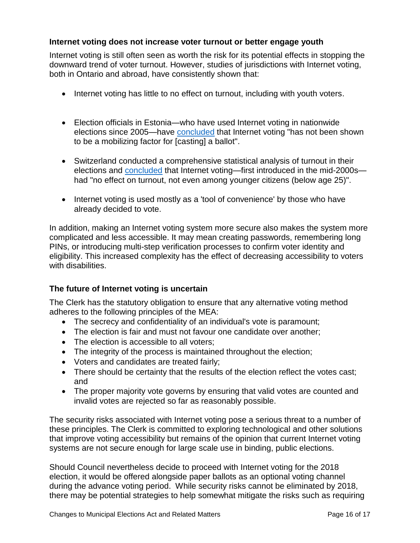## **Internet voting does not increase voter turnout or better engage youth**

Internet voting is still often seen as worth the risk for its potential effects in stopping the downward trend of voter turnout. However, studies of jurisdictions with Internet voting, both in Ontario and abroad, have consistently shown that:

- Internet voting has little to no effect on turnout, including with youth voters.
- Election officials in Estonia—who have used Internet voting in nationwide elections since 2005—have [concluded](http://www.centreforedemocracy.com/wp-content/uploads/2016/10/Policy_Brief_Priit_Vinkel.pdf) that Internet voting "has not been shown to be a mobilizing factor for [casting] a ballot".
- Switzerland conducted a comprehensive statistical analysis of turnout in their elections and [concluded](http://www.centreforedemocracy.com/wp-content/uploads/2016/10/Policy_Brief_Uwe_Serduit.pdf) that Internet voting—first introduced in the mid-2000s had "no effect on turnout, not even among younger citizens (below age 25)".
- Internet voting is used mostly as a 'tool of convenience' by those who have already decided to vote.

In addition, making an Internet voting system more secure also makes the system more complicated and less accessible. It may mean creating passwords, remembering long PINs, or introducing multi-step verification processes to confirm voter identity and eligibility. This increased complexity has the effect of decreasing accessibility to voters with disabilities.

#### **The future of Internet voting is uncertain**

The Clerk has the statutory obligation to ensure that any alternative voting method adheres to the following principles of the MEA:

- The secrecy and confidentiality of an individual's vote is paramount;
- The election is fair and must not favour one candidate over another;
- The election is accessible to all voters;
- The integrity of the process is maintained throughout the election;
- Voters and candidates are treated fairly;
- There should be certainty that the results of the election reflect the votes cast; and
- The proper majority vote governs by ensuring that valid votes are counted and invalid votes are rejected so far as reasonably possible.

The security risks associated with Internet voting pose a serious threat to a number of these principles. The Clerk is committed to exploring technological and other solutions that improve voting accessibility but remains of the opinion that current Internet voting systems are not secure enough for large scale use in binding, public elections.

Should Council nevertheless decide to proceed with Internet voting for the 2018 election, it would be offered alongside paper ballots as an optional voting channel during the advance voting period. While security risks cannot be eliminated by 2018, there may be potential strategies to help somewhat mitigate the risks such as requiring